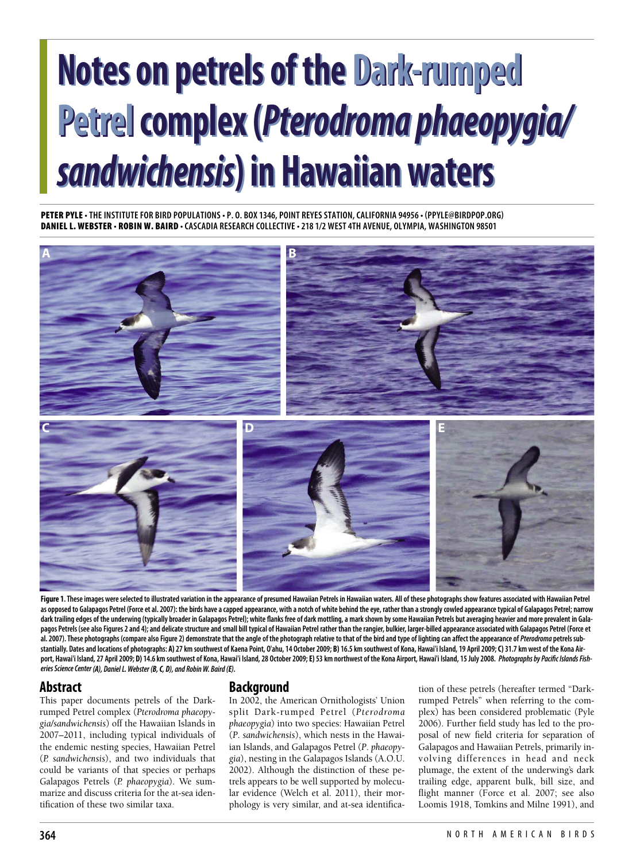# **Notes on petrels of the Dark-rumped Notes on petrels of the Dark-rumped Petrelcomplex(***Pterodroma phaeopygia/* **Petrelcomplex(***Pterodroma phaeopygia/ sandwichensis***) in Hawaiian waters** *sandwichensis***) in Hawaiian waters**

PETER PYLE . THE INSTITUTE FOR BIRD POPULATIONS . P. O. BOX 1346, POINT REYES STATION, CALIFORNIA 94956 . (PPYLE@BIRDPOP.ORG) DANIEL L. WEBSTER · ROBIN W. BAIRD · CASCADIA RESEARCH COLLECTIVE · 218 1/2 WEST 4TH AVENUE, OLYMPIA, WASHINGTON 98501



Figure 1. These images were selected to illustrated variation in the appearance of presumed Hawaiian Petrels in Hawaiian waters. All of these photographs show features associated with Hawaiian Petrel as opposed to Galapagos Petrel (Force et al. 2007): the birds have a capped appearance, with a notch of white behind the eye, rather than a strongly cowled appearance typical of Galapagos Petrel; narrow dark trailing edges of the underwing (typically broader in Galapagos Petrel); white flanks free of dark mottling, a mark shown by some Hawaiian Petrels but averaging heavier and more prevalent in Galapagos Petrels (see also Figures 2 and 4); and delicate structure and small bill typical of Hawaiian Petrel rather than the rangier, bulkier, larger-billed appearance associated with Galapagos Petrel (Force et al. 2007). These photographs (compare also Figure 2) demonstrate that the angle of the photograph relative to that of the bird and type of lighting can affect the appearance of Pterodroma petrels substantially. Dates and locations of photographs: A) 27 km southwest of Kaena Point, O'ahu, 14 October 2009; B) 16.5 km southwest of Kona, Hawai'i Island, 19 April 2009; C) 31.7 km west of the Kona Airport, Hawai'i Island, 27 April 2009; D) 14.6 km southwest of Kona, Hawai'i Island, 28 October 2009; E) 53 km northwest of the Kona Airport, Hawai'i Island, 15 July 2008. Photographs by Pacific Islands Fish*eriesScienceCenter (A), DanielL.Webster (B,C, D), and RobinW. Baird (E).*

# **Abstract**

This paper documents petrels of the Darkrumped Petrel complex (*Pterodroma phaeopygia/sandwichensis*) off the Hawaiian Islands in 2007–2011, including typical individuals of the endemic nesting species, Hawaiian Petrel (*P. sandwichensis*), and two individuals that could be variants of that species or perhaps Galapagos Petrels (*P. phaeopygia*). We summarize and discuss criteria for the at-sea identification of these two similar taxa.

# **Background**

In 2002, the American Ornithologists' Union split Dark-rumped Petrel (*Pterodroma phaeopygia*) into two species: Hawaiian Petrel (*P*. *sandwichensis*), which nests in the Hawaiian Islands, and Galapagos Petrel (*P*. *phaeopygia*), nesting in the Galapagos Islands (A.O.U. 2002). Although the distinction of these petrels appears to be well supported by molecular evidence (Welch et al. 2011), their morphology is very similar, and at-sea identification of these petrels (hereafter termed "Darkrumped Petrels" when referring to the complex) has been considered problematic (Pyle 2006). Further field study has led to the proposal of new field criteria for separation of Galapagos and Hawaiian Petrels, primarily involving differences in head and neck plumage, the extent of the underwing's dark trailing edge, apparent bulk, bill size, and flight manner (Force et al. 2007; see also Loomis 1918, Tomkins and Milne 1991), and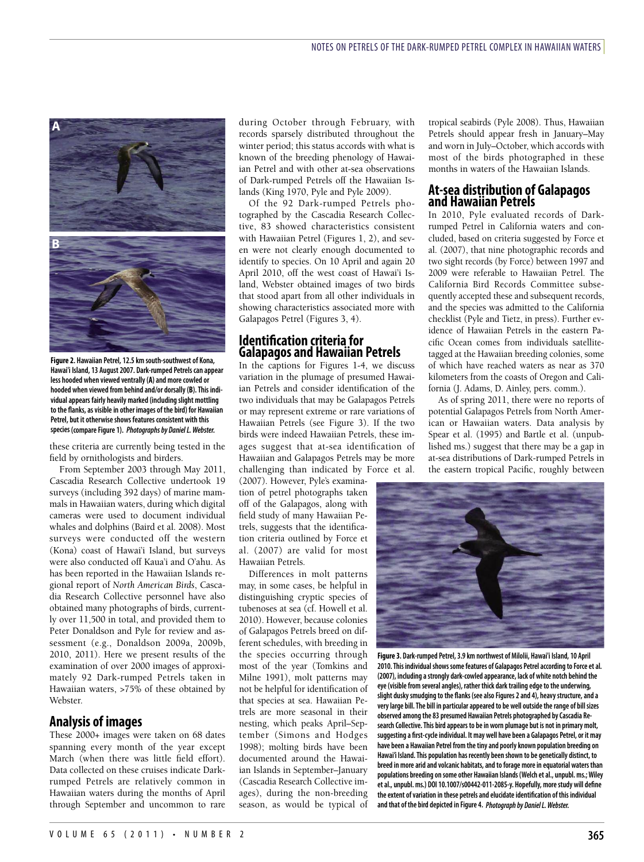

**Figure 2. Hawaiian Petrel, 12.5 km south-southwest of Kona, Hawai'i Island, 13 August 2007. Dark-rumped Petrels can appear less hooded when viewed ventrally(A)and morecowled or hooded when viewed from behind and/or dorsally(B).This individualappears fairly heavily marked (including slight mottling to the flanks,asvisiblein other images of the bird) for Hawaiian Petrel, but it otherwiseshows features consistent with this species (compareFigure 1).** *Photographs by DanielL.Webster.*

these criteria are currently being tested in the field by ornithologists and birders.

From September 2003 through May 2011, Cascadia Research Collective undertook 19 surveys (including 392 days) of marine mammals in Hawaiian waters, during which digital cameras were used to document individual whales and dolphins (Baird et al. 2008). Most surveys were conducted off the western (Kona) coast of Hawai'i Island, but surveys were also conducted off Kaua'i and O'ahu. As has been reported in the Hawaiian Islands regional report of *North American Birds*, Cascadia Research Collective personnel have also obtained many photographs of birds, currently over 11,500 in total, and provided them to Peter Donaldson and Pyle for review and assessment (e.g., Donaldson 2009a, 2009b, 2010, 2011). Here we present results of the examination of over 2000 images of approximately 92 Dark-rumped Petrels taken in Hawaiian waters, >75% of these obtained by Webster.

#### **Analysis of images**

These 2000+ images were taken on 68 dates spanning every month of the year except March (when there was little field effort). Data collected on these cruises indicate Darkrumped Petrels are relatively common in Hawaiian waters during the months of April through September and uncommon to rare

during October through February, with records sparsely distributed throughout the winter period; this status accords with what is known of the breeding phenology of Hawaiian Petrel and with other at-sea observations of Dark-rumped Petrels off the Hawaiian Islands (King 1970, Pyle and Pyle 2009).

Of the 92 Dark-rumped Petrels photographed by the Cascadia Research Collective, 83 showed characteristics consistent with Hawaiian Petrel (Figures 1, 2), and seven were not clearly enough documented to identify to species. On 10 April and again 20 April 2010, off the west coast of Hawai'i Island, Webster obtained images of two birds that stood apart from all other individuals in showing characteristics associated more with Galapagos Petrel (Figures 3, 4).

#### **Identification criteria for Galapagos and Hawaiian Petrels**

In the captions for Figures 1-4, we discuss variation in the plumage of presumed Hawaiian Petrels and consider identification of the two individuals that may be Galapagos Petrels or may represent extreme or rare variations of Hawaiian Petrels (see Figure 3). If the two birds were indeed Hawaiian Petrels, these images suggest that at-sea identification of Hawaiian and Galapagos Petrels may be more challenging than indicated by Force et al.

(2007). However, Pyle's examination of petrel photographs taken off of the Galapagos, along with field study of many Hawaiian Petrels, suggests that the identification criteria outlined by Force et al. (2007) are valid for most Hawaiian Petrels.

Differences in molt patterns may, in some cases, be helpful in distinguishing cryptic species of tubenoses at sea (cf. Howell et al. 2010). However, because colonies of Galapagos Petrels breed on different schedules, with breeding in the species occurring through most of the year (Tomkins and Milne 1991), molt patterns may not be helpful for identification of that species at sea. Hawaiian Petrels are more seasonal in their nesting, which peaks April–September (Simons and Hodges 1998); molting birds have been documented around the Hawaiian Islands in September–January (Cascadia Research Collective images), during the non-breeding season, as would be typical of

tropical seabirds (Pyle 2008). Thus, Hawaiian Petrels should appear fresh in January–May and worn in July–October, which accords with most of the birds photographed in these months in waters of the Hawaiian Islands.

#### **At-sea distribution of Galapagos and Hawaiian Petrels**

In 2010, Pyle evaluated records of Darkrumped Petrel in California waters and concluded, based on criteria suggested by Force et al. (2007), that nine photographic records and two sight records (by Force) between 1997 and 2009 were referable to Hawaiian Petrel. The California Bird Records Committee subsequently accepted these and subsequent records, and the species was admitted to the California checklist (Pyle and Tietz, in press). Further evidence of Hawaiian Petrels in the eastern Pacific Ocean comes from individuals satellitetagged at the Hawaiian breeding colonies, some of which have reached waters as near as 370 kilometers from the coasts of Oregon and California (J. Adams, D. Ainley, pers. comm.).

As of spring 2011, there were no reports of potential Galapagos Petrels from North American or Hawaiian waters. Data analysis by Spear et al. (1995) and Bartle et al. (unpublished ms.) suggest that there may be a gap in at-sea distributions of Dark-rumped Petrels in the eastern tropical Pacific, roughly between



**Figure 3. Dark-rumped Petrel, 3.9 km northwest of Milolii, Hawai'i Island, 10 April 2010.This individual shows somefeatures of Galapagos Petrelaccording to Forceetal. (2007), including astrongly dark-cowled appearance, lack of white notch behind the eye(visiblefrom severalangles), rather thick darktrailing edgeto the underwing, slight duskysmudging to the flanks (seealso Figures 2 and 4), heavystructure,and a verylarge bill.The bill in particularappeared to be well outsidetherange of bill sizes observed among the 83 presumed Hawaiian Petrels photographed byCascadia Research Collective.This bird appears to bein worn plumage but is not in primary molt, suggesting a first-cycleindividual. It may well have been a Galapagos Petrel, or it may have been a Hawaiian Petrel from thetinyand poorlyknown population breeding on Hawai'i Island.This population has recently been shown to be genetically distinct, to breed in morearid and volcanic habitats,and to forage morein equatorial waters than populations breeding on some other Hawaiian Islands (Welch etal., unpubl. ms.;Wiley etal., unpubl. ms.) DOI 10.1007/s00442-011-2085-y. Hopefully, morestudy will define theextent ofvariation in these petrelsand elucidateidentification of this individual and that of the bird depicted in Figure 4.** *Photograph by DanielL.Webster.*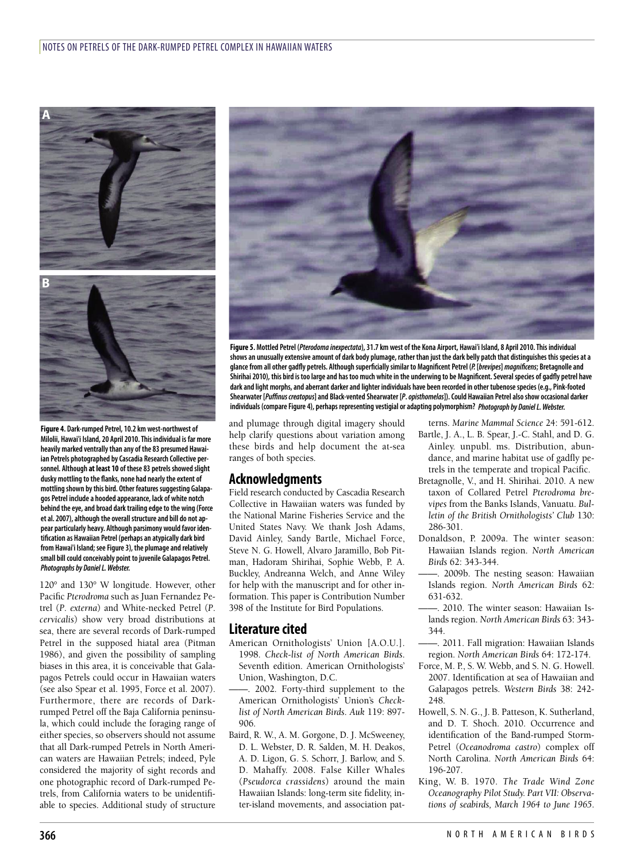

**Figure 4. Dark-rumped Petrel, 10.2 km west-northwest of Milolii, Hawai'i Island, 20 April 2010.This individual is far more heavily marked ventrallythan any of the 83 presumed Hawaiian Petrels photographed byCascadia Research Collective personnel. Although at least 10 of these 83 petrels showed slight dusky mottling to the flanks, none had nearlytheextent of mottling shown bythis bird. Other features suggesting Galapagos Petrel includea hooded appearance, lack of white notch behind theeye,and broad darktrailing edgeto the wing (Force etal. 2007),although the overall structureand bill do notappear particularly heavy. Although parsimony would favor identification as Hawaiian Petrel (perhapsan atypically dark bird from Hawai'i Island; seeFigure 3), the plumageand relatively small bill could conceivably point to juvenile Galapagos Petrel. Photographs** by Daniel L. Webster.

120° and 130° W longitude. However, other Pacific *Pterodroma* such as Juan Fernandez Petrel (*P*. *externa*) and White-necked Petrel (*P*. *cervicalis*) show very broad distributions at sea, there are several records of Dark-rumped Petrel in the supposed hiatal area (Pitman 1986), and given the possibility of sampling biases in this area, it is conceivable that Galapagos Petrels could occur in Hawaiian waters (see also Spear et al. 1995, Force et al. 2007). Furthermore, there are records of Darkrumped Petrel off the Baja California peninsula, which could include the foraging range of either species, so observers should not assume that all Dark-rumped Petrels in North American waters are Hawaiian Petrels; indeed, Pyle considered the majority of sight records and one photographic record of Dark-rumped Petrels, from California waters to be unidentifiable to species. Additional study of structure



Figure 5. Mottled Petrel (Pterodoma inexpectata), 31.7 km west of the Kona Airport, Hawai'i Island, 8 April 2010. This individual shows an unusually extensive amount of dark body plumage, rather than just the dark belly patch that distinguishes this species at a glance from all other gadfly petrels. Although superficially similar to Magnificent Petrel (P. [brevipes] magnificens; Bretagnolle and Shirihai 2010), this bird is too large and has too much white in the underwing to be Magnificent. Several species of gadfly petrel have dark and light morphs, and aberrant darker and lighter individuals have been recorded in other tubenose species (e.g., Pink-footed Shearwater [Puffinus creatopus] and Black-vented Shearwater [P. opisthomelas]). Could Hawaiian Petrel also show occasional darker **individuals (compareFigure 4), perhaps representing vestigial oradapting polymorphism?** *Photograph by DanielL.Webster.*

and plumage through digital imagery should help clarify questions about variation among these birds and help document the at-sea ranges of both species.

# **Acknowledgments**

Field research conducted by Cascadia Research Collective in Hawaiian waters was funded by the National Marine Fisheries Service and the United States Navy. We thank Josh Adams, David Ainley, Sandy Bartle, Michael Force, Steve N. G. Howell, Alvaro Jaramillo, Bob Pitman, Hadoram Shirihai, Sophie Webb, P. A. Buckley, Andreanna Welch, and Anne Wiley for help with the manuscript and for other information. This paper is Contribution Number 398 of the Institute for Bird Populations.

# **Literature cited**

- American Ornithologists' Union [A.O.U.]. 1998. *Check-list of North American Birds*. Seventh edition. American Ornithologists' Union, Washington, D.C.
- 2002. Forty-third supplement to the American Ornithologists' Union's *Checklist of North American Birds*. *Auk* 119: 897- 906.
- Baird, R. W., A. M. Gorgone, D. J. McSweeney, D. L. Webster, D. R. Salden, M. H. Deakos, A. D. Ligon, G. S. Schorr, J. Barlow, and S. D. Mahaffy. 2008. False Killer Whales (*Pseudorca crassidens*) around the main Hawaiian Islands: long-term site fidelity, inter-island movements, and association pat-

terns. *Marine Mammal Science* 24: 591-612. Bartle, J. A., L. B. Spear, J.-C. Stahl, and D. G. Ainley. unpubl. ms. Distribution, abundance, and marine habitat use of gadfly petrels in the temperate and tropical Pacific.

- Bretagnolle, V., and H. Shirihai. 2010. A new taxon of Collared Petrel *Pterodroma brevipes* from the Banks Islands, Vanuatu. *Bulletin of the British Ornithologists' Club* 130: 286-301.
- Donaldson, P. 2009a. The winter season: Hawaiian Islands region. *North American Birds* 62: 343-344.
	- ——. 2009b. The nesting season: Hawaiian Islands region. *North American Birds* 62: 631-632.
- ——. 2010. The winter season: Hawaiian Islands region. *North American Birds* 63: 343- 344.
- ——. 2011. Fall migration: Hawaiian Islands region. *North American Birds* 64: 172-174.
- Force, M. P., S. W. Webb, and S. N. G. Howell. 2007. Identification at sea of Hawaiian and Galapagos petrels. *Western Birds* 38: 242- 248
- Howell, S. N. G., J. B. Patteson, K. Sutherland, and D. T. Shoch. 2010. Occurrence and identification of the Band-rumped Storm-Petrel (*Oceanodroma castro*) complex off North Carolina. *North American Birds* 64: 196-207.
- King, W. B. 1970. *The Trade Wind Zone Oceanography Pilot Study. Part VII: Observations of seabirds, March 1964 to June 1965*.